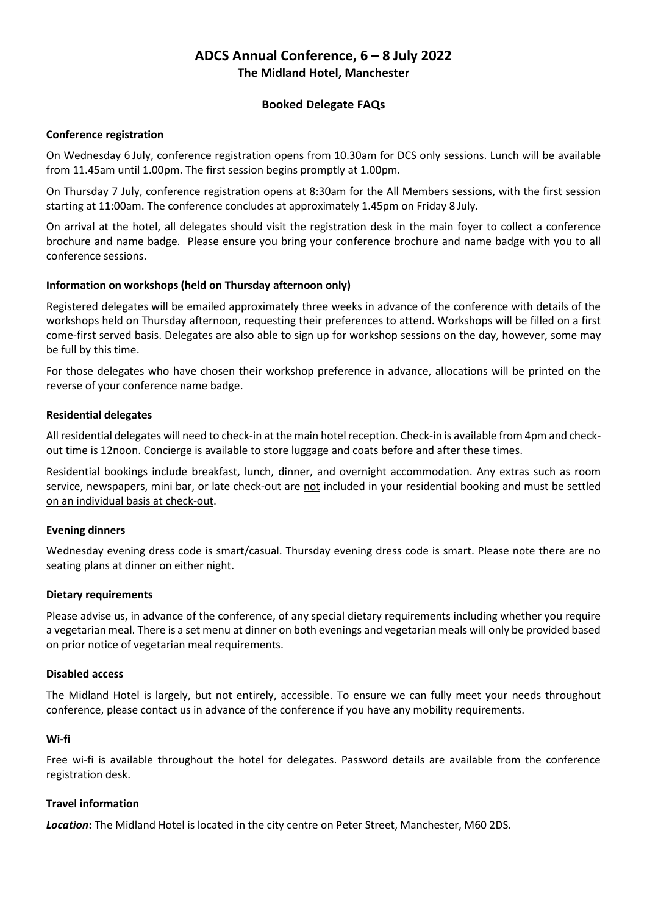# **ADCS Annual Conference, 6 – 8 July 2022 The Midland Hotel, Manchester**

# **Booked Delegate FAQs**

### **Conference registration**

On Wednesday 6 July, conference registration opens from 10.30am for DCS only sessions. Lunch will be available from 11.45am until 1.00pm. The first session begins promptly at 1.00pm.

On Thursday 7 July, conference registration opens at 8:30am for the All Members sessions, with the first session starting at 11:00am. The conference concludes at approximately 1.45pm on Friday 8 July.

On arrival at the hotel, all delegates should visit the registration desk in the main foyer to collect a conference brochure and name badge. Please ensure you bring your conference brochure and name badge with you to all conference sessions.

# **Information on workshops (held on Thursday afternoon only)**

Registered delegates will be emailed approximately three weeks in advance of the conference with details of the workshops held on Thursday afternoon, requesting their preferences to attend. Workshops will be filled on a first come-first served basis. Delegates are also able to sign up for workshop sessions on the day, however, some may be full by this time.

For those delegates who have chosen their workshop preference in advance, allocations will be printed on the reverse of your conference name badge.

### **Residential delegates**

All residential delegates will need to check-in at the main hotel reception. Check-in is available from 4pm and checkout time is 12noon. Concierge is available to store luggage and coats before and after these times.

Residential bookings include breakfast, lunch, dinner, and overnight accommodation. Any extras such as room service, newspapers, mini bar, or late check-out are not included in your residential booking and must be settled on an individual basis at check-out.

# **Evening dinners**

Wednesday evening dress code is smart/casual. Thursday evening dress code is smart. Please note there are no seating plans at dinner on either night.

# **Dietary requirements**

Please advise us, in advance of the conference, of any special dietary requirements including whether you require a vegetarian meal. There is a set menu at dinner on both evenings and vegetarian meals will only be provided based on prior notice of vegetarian meal requirements.

#### **Disabled access**

The Midland Hotel is largely, but not entirely, accessible. To ensure we can fully meet your needs throughout conference, please contact us in advance of the conference if you have any mobility requirements.

#### **Wi-fi**

Free wi-fi is available throughout the hotel for delegates. Password details are available from the conference registration desk.

# **Travel information**

*Location***:** The Midland Hotel is located in the city centre on Peter Street, Manchester, M60 2DS.